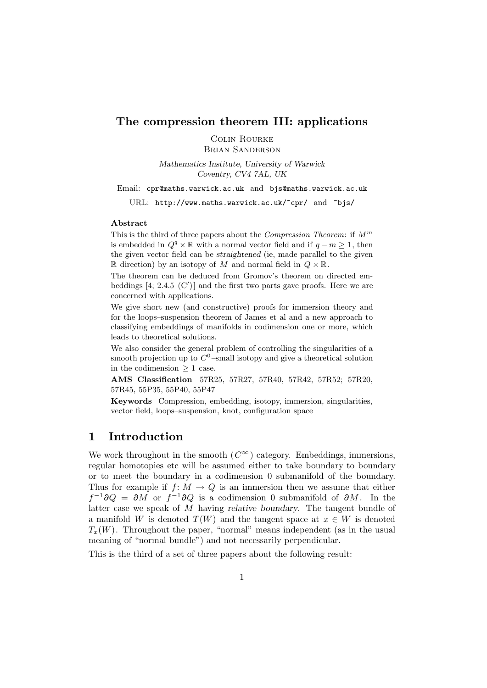### **The compression theorem III: applications**

Colin Rourke Brian Sanderson

*Mathematics Institute, University of Warwick*

*Coventry, CV4 7AL, UK*

Email: cpr@maths.warwick.ac.uk and bjs@maths.warwick.ac.uk

URL: http://www.maths.warwick.ac.uk/~cpr/ and ~bjs/

#### **Abstract**

This is the third of three papers about the *Compression Theorem*: if  $M^m$ is embedded in  $Q^q \times \mathbb{R}$  with a normal vector field and if  $q - m \geq 1$ , then the given vector field can be *straightened* (ie, made parallel to the given R direction) by an isotopy of M and normal field in  $Q \times \mathbb{R}$ .

The theorem can be deduced from Gromov's theorem on directed embeddings  $[4; 2.4.5 \,(C')]$  and the first two parts gave proofs. Here we are concerned with applications.

We give short new (and constructive) proofs for immersion theory and for the loops–suspension theorem of James et al and a new approach to classifying embeddings of manifolds in codimension one or more, which leads to theoretical solutions.

We also consider the general problem of controlling the singularities of a smooth projection up to  $C^0$ -small isotopy and give a theoretical solution in the codimension  $\geq 1$  case.

**AMS Classification** 57R25, 57R27, 57R40, 57R42, 57R52; 57R20, 57R45, 55P35, 55P40, 55P47

**Keywords** Compression, embedding, isotopy, immersion, singularities, vector field, loops–suspension, knot, configuration space

# **1 Introduction**

We work throughout in the smooth  $(C^{\infty})$  category. Embeddings, immersions, regular homotopies etc will be assumed either to take boundary to boundary or to meet the boundary in a codimension 0 submanifold of the boundary. Thus for example if  $f: M \to Q$  is an immersion then we assume that either  $f^{-1}\partial Q = \partial M$  or  $f^{-1}\partial Q$  is a codimension 0 submanifold of  $\partial M$ . In the latter case we speak of M having *relative boundary*. The tangent bundle of a manifold W is denoted  $T(W)$  and the tangent space at  $x \in W$  is denoted  $T_x(W)$ . Throughout the paper, "normal" means independent (as in the usual meaning of "normal bundle") and not necessarily perpendicular.

This is the third of a set of three papers about the following result: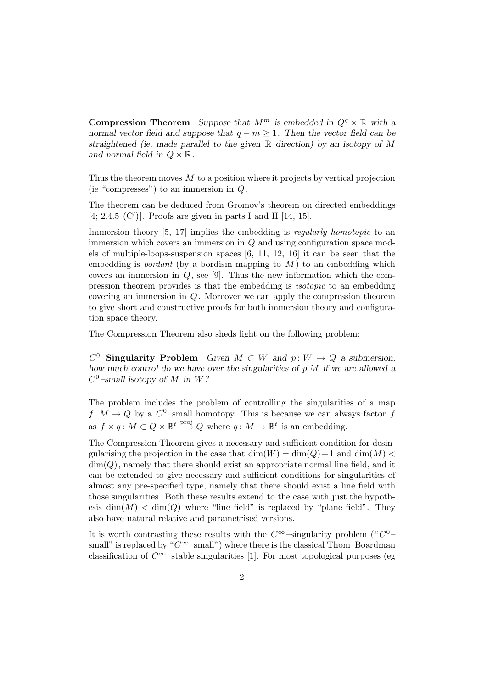**Compression Theorem** *Suppose that*  $M^m$  *is embedded in*  $Q^q \times \mathbb{R}$  *with a normal vector field and suppose that*  $q - m \geq 1$ . Then the vector field can be *straightened (ie, made parallel to the given* R *direction) by an isotopy of* M and normal field in  $Q \times \mathbb{R}$ .

Thus the theorem moves  $M$  to a position where it projects by vertical projection (ie "compresses") to an immersion in  $Q$ .

The theorem can be deduced from Gromov's theorem on directed embeddings  $[4; 2.4.5 \, (C')]$ . Proofs are given in parts I and II  $[14, 15]$ .

Immersion theory [5, 17] implies the embedding is *regularly homotopic* to an immersion which covers an immersion in  $Q$  and using configuration space models of multiple-loops-suspension spaces [6, 11, 12, 16] it can be seen that the embedding is *bordant* (by a bordism mapping to  $M$ ) to an embedding which covers an immersion in  $Q$ , see [9]. Thus the new information which the compression theorem provides is that the embedding is isotopic to an embedding covering an immersion in Q. Moreover we can apply the compression theorem to give short and constructive proofs for both immersion theory and configuration space theory.

The Compression Theorem also sheds light on the following problem:

 $C^0$ **–Singularity Problem** *Given*  $M \subset W$  *and*  $p: W \to Q$  *a submersion, how much control do we have over the singularities of* p|M *if we are allowed a*  $C^0$ -small isotopy of M in W?

The problem includes the problem of controlling the singularities of a map  $f: M \to Q$  by a  $C^0$ -small homotopy. This is because we can always factor f as  $f \times q$ :  $M \subset Q \times \mathbb{R}^t \stackrel{\text{proj}}{\longrightarrow} Q$  where  $q: M \to \mathbb{R}^t$  is an embedding.

The Compression Theorem gives a necessary and sufficient condition for desingularising the projection in the case that  $\dim(W) = \dim(Q) + 1$  and  $\dim(M)$  $\dim(Q)$ , namely that there should exist an appropriate normal line field, and it can be extended to give necessary and sufficient conditions for singularities of almost any pre-specified type, namely that there should exist a line field with those singularities. Both these results extend to the case with just the hypothesis  $\dim(M) < \dim(Q)$  where "line field" is replaced by "plane field". They also have natural relative and parametrised versions.

It is worth contrasting these results with the  $C^{\infty}$ –singularity problem (" $C^{0}$ – small" is replaced by " $C^{\infty}$ -small") where there is the classical Thom–Boardman classification of  $C^{\infty}$ –stable singularities [1]. For most topological purposes (eg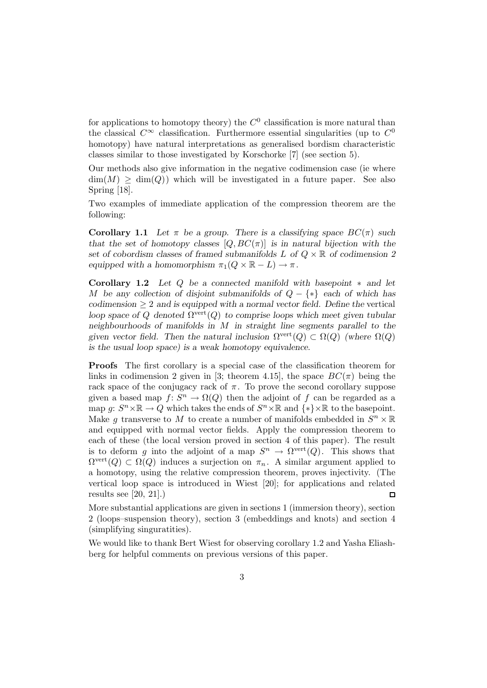for applications to homotopy theory) the  $C^0$  classification is more natural than the classical  $C^{\infty}$  classification. Furthermore essential singularities (up to  $C^0$ homotopy) have natural interpretations as generalised bordism characteristic classes similar to those investigated by Korschorke [7] (see section 5).

Our methods also give information in the negative codimension case (ie where  $\dim(M) \geq \dim(Q)$  which will be investigated in a future paper. See also Spring [18].

Two examples of immediate application of the compression theorem are the following:

**Corollary 1.1** *Let*  $\pi$  *be a group. There is a classifying space*  $BC(\pi)$  *such that the set of homotopy classes*  $[Q, BC(\pi)]$  *is in natural bijection with the set of cobordism classes of framed submanifolds* L *of* Q × R *of codimension 2 equipped with a homomorphism*  $\pi_1(Q \times \mathbb{R} - L) \to \pi$ .

**Corollary 1.2** *Let* Q *be a connected manifold with basepoint* ∗ *and let* M *be any collection of disjoint submanifolds of* Q − {∗} *each of which has*  $codimension \geq 2$  *and is equipped with a normal vector field. Define the vertical loop space of* Q *denoted*  $\Omega^{\text{vert}}(Q)$  *to comprise loops which meet given tubular neighbourhoods of manifolds in* M *in straight line segments parallel to the given vector field. Then the natural inclusion*  $\Omega^{\text{vert}}(Q) \subset \Omega(Q)$  *(where*  $\Omega(Q)$ ) *is the usual loop space) is a weak homotopy equivalence.*

**Proofs** The first corollary is a special case of the classification theorem for links in codimension 2 given in [3; theorem 4.15], the space  $BC(\pi)$  being the rack space of the conjugacy rack of  $\pi$ . To prove the second corollary suppose given a based map  $f: S^n \to \Omega(Q)$  then the adjoint of f can be regarded as a map  $g: S^n \times \mathbb{R} \to Q$  which takes the ends of  $S^n \times \mathbb{R}$  and  $\{*\} \times \mathbb{R}$  to the basepoint. Make q transverse to M to create a number of manifolds embedded in  $S^n \times \mathbb{R}$ and equipped with normal vector fields. Apply the compression theorem to each of these (the local version proved in section 4 of this paper). The result is to deform g into the adjoint of a map  $S^n \to \Omega^{\text{vert}}(Q)$ . This shows that  $\Omega^{\text{vert}}(Q) \subset \Omega(Q)$  induces a surjection on  $\pi_n$ . A similar argument applied to a homotopy, using the relative compression theorem, proves injectivity. (The vertical loop space is introduced in Wiest [20]; for applications and related results see [20, 21].)  $\square$ 

More substantial applications are given in sections 1 (immersion theory), section 2 (loops–suspension theory), section 3 (embeddings and knots) and section 4 (simplifying singuratities).

We would like to thank Bert Wiest for observing corollary 1.2 and Yasha Eliashberg for helpful comments on previous versions of this paper.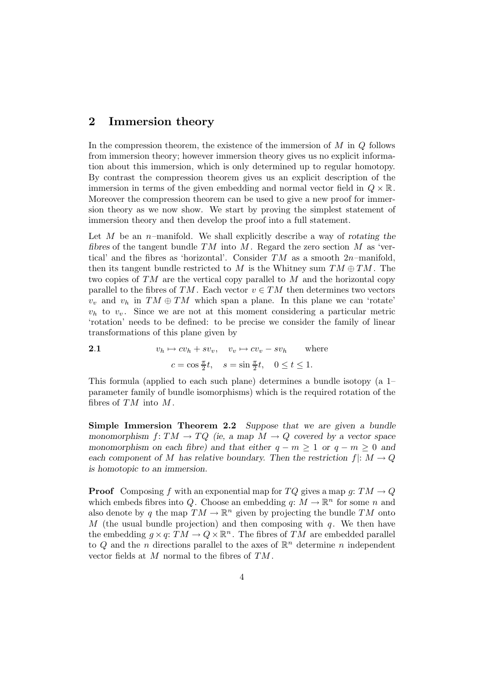# **2 Immersion theory**

In the compression theorem, the existence of the immersion of  $M$  in  $Q$  follows from immersion theory; however immersion theory gives us no explicit information about this immersion, which is only determined up to regular homotopy. By contrast the compression theorem gives us an explicit description of the immersion in terms of the given embedding and normal vector field in  $Q \times \mathbb{R}$ . Moreover the compression theorem can be used to give a new proof for immersion theory as we now show. We start by proving the simplest statement of immersion theory and then develop the proof into a full statement.

Let M be an n–manifold. We shall explicitly describe a way of *rotating the fibres* of the tangent bundle  $TM$  into  $M$ . Regard the zero section  $M$  as 'vertical' and the fibres as 'horizontal'. Consider  $TM$  as a smooth  $2n$ -manifold, then its tangent bundle restricted to M is the Whitney sum  $TM \oplus TM$ . The two copies of  $TM$  are the vertical copy parallel to M and the horizontal copy parallel to the fibres of TM. Each vector  $v \in TM$  then determines two vectors  $v_v$  and  $v_h$  in  $TM \oplus TM$  which span a plane. In this plane we can 'rotate'  $v_h$  to  $v_v$ . Since we are not at this moment considering a particular metric 'rotation' needs to be defined: to be precise we consider the family of linear transformations of this plane given by

2.1 
$$
v_h \mapsto cv_h + sv_v, \quad v_v \mapsto cv_v - sv_h \quad \text{where}
$$

$$
c = \cos \frac{\pi}{2}t, \quad s = \sin \frac{\pi}{2}t, \quad 0 \le t \le 1.
$$

This formula (applied to each such plane) determines a bundle isotopy (a 1– parameter family of bundle isomorphisms) which is the required rotation of the fibres of  $TM$  into  $M$ .

**Simple Immersion Theorem 2.2** *Suppose that we are given a bundle monomorphism*  $f: TM \to TQ$  *(ie, a map*  $M \to Q$  *covered by a vector space monomorphism on each fibre) and that either*  $q - m \geq 1$  *or*  $q - m \geq 0$  *and each component of* M has relative boundary. Then the restriction  $f: M \to Q$ *is homotopic to an immersion.*

**Proof** Composing f with an exponential map for TQ gives a map g:  $TM \rightarrow Q$ which embeds fibres into Q. Choose an embedding  $q: M \to \mathbb{R}^n$  for some n and also denote by q the map  $TM \to \mathbb{R}^n$  given by projecting the bundle TM onto M (the usual bundle projection) and then composing with  $q$ . We then have the embedding  $g \times q$ :  $TM \to Q \times \mathbb{R}^n$ . The fibres of TM are embedded parallel to Q and the n directions parallel to the axes of  $\mathbb{R}^n$  determine n independent vector fields at M normal to the fibres of TM .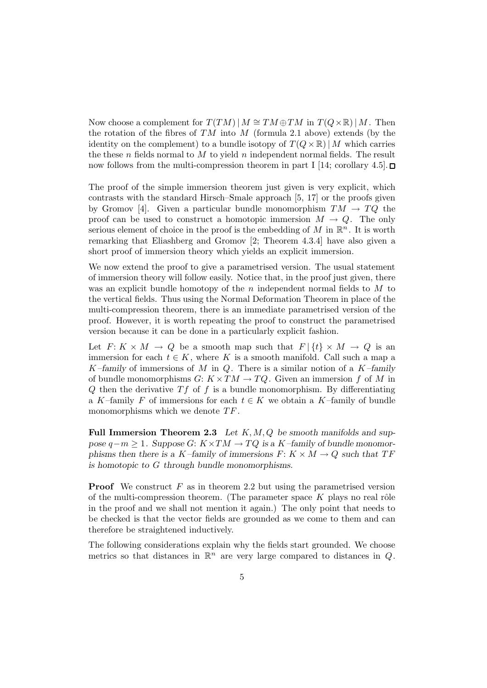Now choose a complement for  $T(TM)$  |  $M \cong TM \oplus TM$  in  $T(Q \times \mathbb{R})$  | M. Then the rotation of the fibres of  $TM$  into  $M$  (formula 2.1 above) extends (by the identity on the complement) to a bundle isotopy of  $T(Q \times \mathbb{R})/M$  which carries the these n fields normal to M to yield n independent normal fields. The result now follows from the multi-compression theorem in part I [14; corollary 4.5].  $\Box$ 

The proof of the simple immersion theorem just given is very explicit, which contrasts with the standard Hirsch–Smale approach [5, 17] or the proofs given by Gromov [4]. Given a particular bundle monomorphism  $TM \rightarrow TQ$  the proof can be used to construct a homotopic immersion  $M \to Q$ . The only serious element of choice in the proof is the embedding of  $M$  in  $\mathbb{R}^n$ . It is worth remarking that Eliashberg and Gromov [2; Theorem 4.3.4] have also given a short proof of immersion theory which yields an explicit immersion.

We now extend the proof to give a parametrised version. The usual statement of immersion theory will follow easily. Notice that, in the proof just given, there was an explicit bundle homotopy of the n independent normal fields to  $M$  to the vertical fields. Thus using the Normal Deformation Theorem in place of the multi-compression theorem, there is an immediate parametrised version of the proof. However, it is worth repeating the proof to construct the parametrised version because it can be done in a particularly explicit fashion.

Let  $F: K \times M \to Q$  be a smooth map such that  $F | \{t\} \times M \to Q$  is an immersion for each  $t \in K$ , where K is a smooth manifold. Call such a map a K*–family* of immersions of M in Q. There is a similar notion of a K*–family* of bundle monomorphisms  $G: K \times TM \rightarrow TQ$ . Given an immersion f of M in Q then the derivative  $Tf$  of f is a bundle monomorphism. By differentiating a K–family F of immersions for each  $t \in K$  we obtain a K–family of bundle monomorphisms which we denote  $TF$ .

**Full Immersion Theorem 2.3** Let K, M, Q be smooth manifolds and sup $pose q-m \geq 1$ . Suppose  $G: K \times TM \to TQ$  is a K–family of bundle monomor*phisms then there is a* K–family of immersions  $F: K \times M \rightarrow Q$  such that  $TF$ *is homotopic to* G *through bundle monomorphisms.*

**Proof** We construct  $F$  as in theorem 2.2 but using the parametrised version of the multi-compression theorem. (The parameter space  $K$  plays no real rôle in the proof and we shall not mention it again.) The only point that needs to be checked is that the vector fields are grounded as we come to them and can therefore be straightened inductively.

The following considerations explain why the fields start grounded. We choose metrics so that distances in  $\mathbb{R}^n$  are very large compared to distances in Q.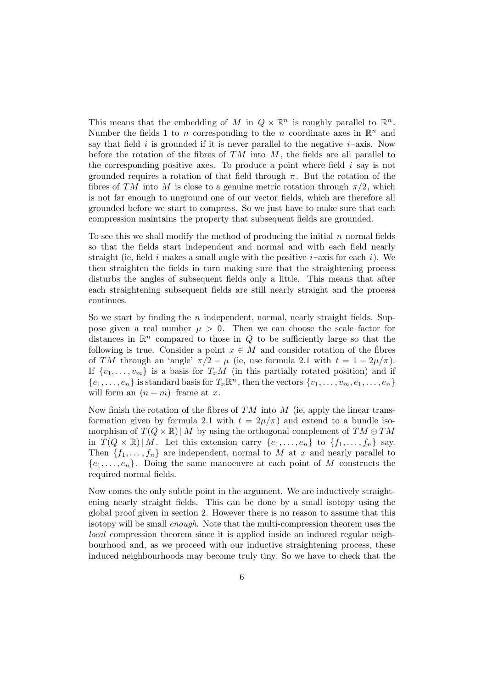This means that the embedding of M in  $Q \times \mathbb{R}^n$  is roughly parallel to  $\mathbb{R}^n$ . Number the fields 1 to n corresponding to the n coordinate axes in  $\mathbb{R}^n$  and say that field i is grounded if it is never parallel to the negative  $i$ –axis. Now before the rotation of the fibres of  $TM$  into  $M$ , the fields are all parallel to the corresponding positive axes. To produce a point where field  $i$  say is not grounded requires a rotation of that field through  $\pi$ . But the rotation of the fibres of TM into M is close to a genuine metric rotation through  $\pi/2$ , which is not far enough to unground one of our vector fields, which are therefore all grounded before we start to compress. So we just have to make sure that each compression maintains the property that subsequent fields are grounded.

To see this we shall modify the method of producing the initial  $n$  normal fields so that the fields start independent and normal and with each field nearly straight (ie, field i makes a small angle with the positive  $i$ –axis for each i). We then straighten the fields in turn making sure that the straightening process disturbs the angles of subsequent fields only a little. This means that after each straightening subsequent fields are still nearly straight and the process continues.

So we start by finding the n independent, normal, nearly straight fields. Suppose given a real number  $\mu > 0$ . Then we can choose the scale factor for distances in  $\mathbb{R}^n$  compared to those in Q to be sufficiently large so that the following is true. Consider a point  $x \in M$  and consider rotation of the fibres of TM through an 'angle'  $\pi/2 - \mu$  (ie, use formula 2.1 with  $t = 1 - 2\mu/\pi$ ). If  $\{v_1,\ldots,v_m\}$  is a basis for  $T_xM$  (in this partially rotated position) and if  $\{e_1,\ldots,e_n\}$  is standard basis for  $T_x\mathbb{R}^n$ , then the vectors  $\{v_1,\ldots,v_m,e_1,\ldots,e_n\}$ will form an  $(n + m)$ –frame at x.

Now finish the rotation of the fibres of  $TM$  into  $M$  (ie, apply the linear transformation given by formula 2.1 with  $t = 2\mu/\pi$ ) and extend to a bundle isomorphism of  $T(Q \times \mathbb{R}) | M$  by using the orthogonal complement of  $TM \oplus TM$ in  $T(Q \times \mathbb{R}) | M$ . Let this extension carry  $\{e_1, \ldots, e_n\}$  to  $\{f_1, \ldots, f_n\}$  say. Then  ${f_1,\ldots,f_n}$  are independent, normal to M at x and nearly parallel to  ${e_1,\ldots,e_n}$ . Doing the same manoeuvre at each point of M constructs the required normal fields.

Now comes the only subtle point in the argument. We are inductively straightening nearly straight fields. This can be done by a small isotopy using the global proof given in section 2. However there is no reason to assume that this isotopy will be small enough. Note that the multi-compression theorem uses the local compression theorem since it is applied inside an induced regular neighbourhood and, as we proceed with our inductive straightening process, these induced neighbourhoods may become truly tiny. So we have to check that the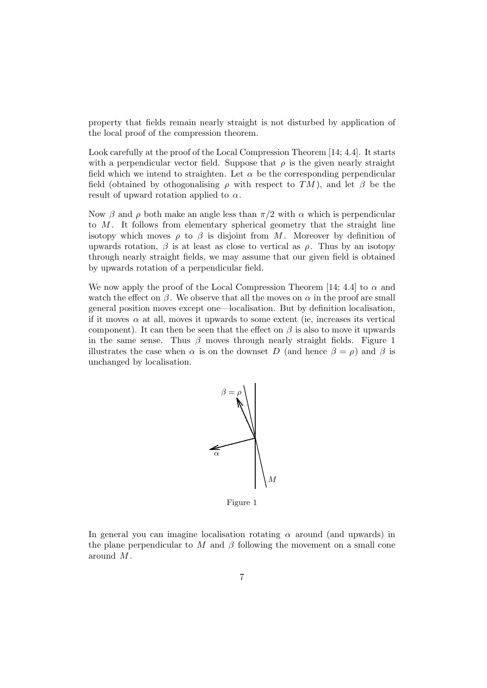property that fields remain nearly straight is not disturbed by application of the local proof of the compression theorem.

Look carefully at the proof of the Local Compression Theorem [14; 4.4]. It starts with a perpendicular vector field. Suppose that  $\rho$  is the given nearly straight field which we intend to straighten. Let  $\alpha$  be the corresponding perpendicular field (obtained by othogonalising  $\rho$  with respect to TM), and let  $\beta$  be the result of upward rotation applied to  $\alpha$ .

Now β and  $ρ$  both make an angle less than  $π/2$  with α which is perpendicular to  $M$ . It follows from elementary spherical geometry that the straight line isotopy which moves  $\rho$  to  $\beta$  is disjoint from M. Moreover by definition of upwards rotation,  $\beta$  is at least as close to vertical as  $\rho$ . Thus by an isotopy through nearly straight fields, we may assume that our given field is obtained by upwards rotation of a perpendicular field.

We now apply the proof of the Local Compression Theorem [14; 4.4] to  $\alpha$  and watch the effect on  $\beta$ . We observe that all the moves on  $\alpha$  in the proof are small general position moves except one—localisation. But by definition localisation, if it moves  $\alpha$  at all, moves it upwards to some extent (ie, increases its vertical component). It can then be seen that the effect on  $\beta$  is also to move it upwards in the same sense. Thus  $\beta$  moves through nearly straight fields. Figure 1 illustrates the case when  $\alpha$  is on the downset D (and hence  $\beta = \rho$ ) and  $\beta$  is unchanged by localisation.



Figure 1

In general you can imagine localisation rotating  $\alpha$  around (and upwards) in the plane perpendicular to M and  $\beta$  following the movement on a small cone around M .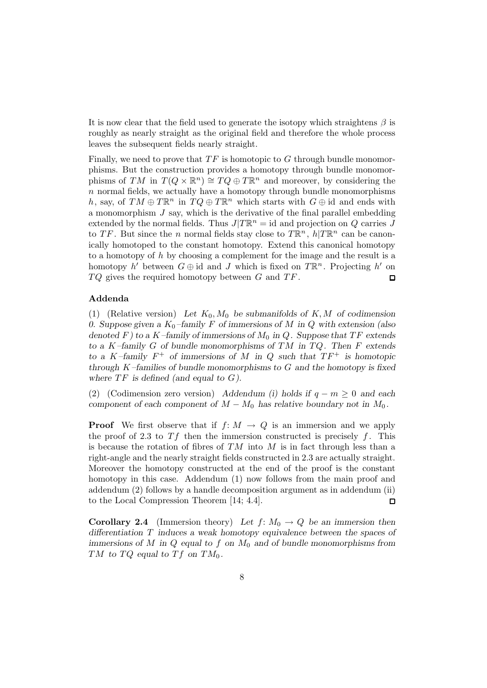It is now clear that the field used to generate the isotopy which straightens  $\beta$  is roughly as nearly straight as the original field and therefore the whole process leaves the subsequent fields nearly straight.

Finally, we need to prove that  $TF$  is homotopic to  $G$  through bundle monomorphisms. But the construction provides a homotopy through bundle monomorphisms of TM in  $T(Q \times \mathbb{R}^n) \cong TQ \oplus T\mathbb{R}^n$  and moreover, by considering the  $n$  normal fields, we actually have a homotopy through bundle monomorphisms h, say, of  $TM \oplus T\mathbb{R}^n$  in  $TQ \oplus T\mathbb{R}^n$  which starts with  $G \oplus id$  and ends with a monomorphism  $J$  say, which is the derivative of the final parallel embedding extended by the normal fields. Thus  $J/T\mathbb{R}^n = id$  and projection on Q carries J to TF. But since the n normal fields stay close to  $T\mathbb{R}^n$ ,  $h|T\mathbb{R}^n$  can be canonically homotoped to the constant homotopy. Extend this canonical homotopy to a homotopy of  $h$  by choosing a complement for the image and the result is a homotopy h' between  $G \oplus id$  and J which is fixed on  $T\mathbb{R}^n$ . Projecting h' on  $TQ$  gives the required homotopy between  $G$  and  $TF$ .  $\Box$ 

#### **Addenda**

(1) (Relative version) Let  $K_0$ ,  $M_0$  be submanifolds of K, M of codimension 0. Suppose given a  $K_0$ -family F of immersions of M in Q with extension (also *denoted*  $F$ *)* to a K–family of immersions of  $M_0$  in Q. Suppose that TF extends *to a* K*–family* G *of bundle monomorphisms of* TM *in* T Q*. Then* F *extends to a* K–family  $F^+$  *of immersions of* M *in* Q *such that*  $TF^+$  *is homotopic through* K*–families of bundle monomorphisms to* G *and the homotopy is fixed* where  $TF$  is defined (and equal to  $G$ ).

(2) (Codimension zero version) *Addendum (i) holds if* q − m ≥ 0 *and each component of each component of*  $M - M_0$  *has relative boundary not in*  $M_0$ *.* 

**Proof** We first observe that if  $f: M \to Q$  is an immersion and we apply the proof of 2.3 to  $Tf$  then the immersion constructed is precisely f. This is because the rotation of fibres of  $TM$  into M is in fact through less than a right-angle and the nearly straight fields constructed in 2.3 are actually straight. Moreover the homotopy constructed at the end of the proof is the constant homotopy in this case. Addendum (1) now follows from the main proof and addendum (2) follows by a handle decomposition argument as in addendum (ii) to the Local Compression Theorem [14; 4.4].  $\Box$ 

**Corollary 2.4** (Immersion theory) Let  $f: M_0 \to Q$  be an immersion then *differentiation* T *induces a weak homotopy equivalence between the spaces of immersions of* M *in* Q *equal to* f *on* M<sup>0</sup> *and of bundle monomorphisms from* TM to TQ equal to Tf on  $TM_0$ .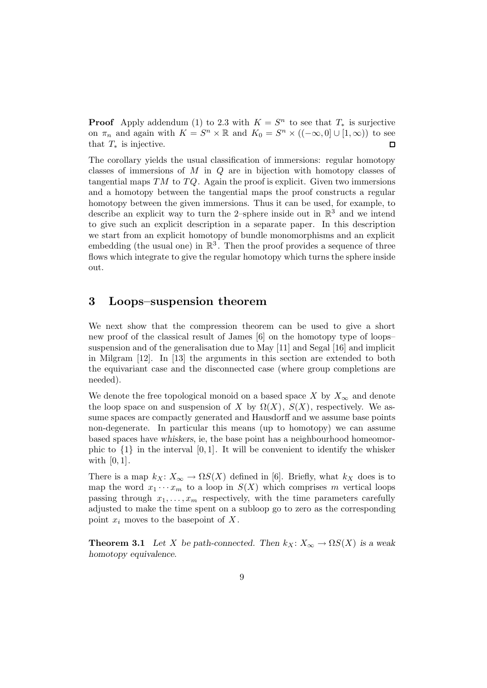**Proof** Apply addendum (1) to 2.3 with  $K = S<sup>n</sup>$  to see that  $T_*$  is surjective on  $\pi_n$  and again with  $K = S^n \times \mathbb{R}$  and  $K_0 = S^n \times ((-\infty, 0] \cup [1, \infty))$  to see that  $T_*$  is injective.  $\Box$ 

The corollary yields the usual classification of immersions: regular homotopy classes of immersions of M in Q are in bijection with homotopy classes of tangential maps  $TM$  to  $TQ$ . Again the proof is explicit. Given two immersions and a homotopy between the tangential maps the proof constructs a regular homotopy between the given immersions. Thus it can be used, for example, to describe an explicit way to turn the 2–sphere inside out in  $\mathbb{R}^3$  and we intend to give such an explicit description in a separate paper. In this description we start from an explicit homotopy of bundle monomorphisms and an explicit embedding (the usual one) in  $\mathbb{R}^3$ . Then the proof provides a sequence of three flows which integrate to give the regular homotopy which turns the sphere inside out.

# **3 Loops–suspension theorem**

We next show that the compression theorem can be used to give a short new proof of the classical result of James [6] on the homotopy type of loops– suspension and of the generalisation due to May [11] and Segal [16] and implicit in Milgram [12]. In [13] the arguments in this section are extended to both the equivariant case and the disconnected case (where group completions are needed).

We denote the free topological monoid on a based space X by  $X_\infty$  and denote the loop space on and suspension of X by  $\Omega(X)$ ,  $S(X)$ , respectively. We assume spaces are compactly generated and Hausdorff and we assume base points non-degenerate. In particular this means (up to homotopy) we can assume based spaces have *whiskers*, ie, the base point has a neighbourhood homeomorphic to  $\{1\}$  in the interval  $[0, 1]$ . It will be convenient to identify the whisker with  $[0, 1]$ .

There is a map  $k_X: X_\infty \to \Omega S(X)$  defined in [6]. Briefly, what  $k_X$  does is to map the word  $x_1 \cdots x_m$  to a loop in  $S(X)$  which comprises m vertical loops passing through  $x_1, \ldots, x_m$  respectively, with the time parameters carefully adjusted to make the time spent on a subloop go to zero as the corresponding point  $x_i$  moves to the basepoint of  $X$ .

**Theorem 3.1** *Let* X *be path-connected.* Then  $k_X: X_\infty \to \Omega S(X)$  *is a weak homotopy equivalence.*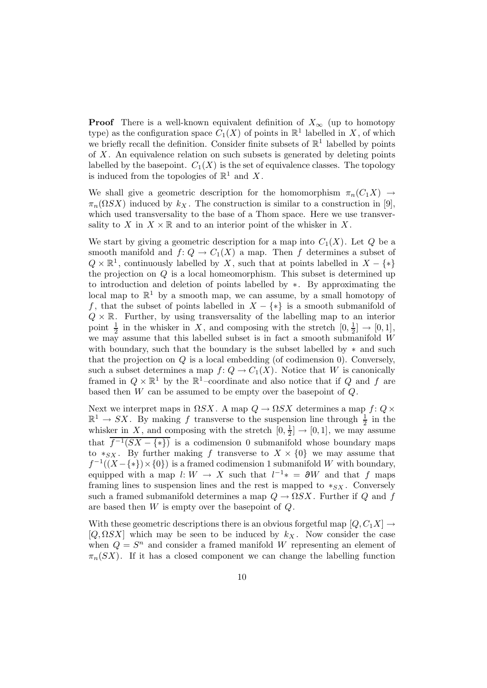**Proof** There is a well-known equivalent definition of  $X_{\infty}$  (up to homotopy type) as the configuration space  $C_1(X)$  of points in  $\mathbb{R}^1$  labelled in X, of which we briefly recall the definition. Consider finite subsets of  $\mathbb{R}^1$  labelled by points of  $X$ . An equivalence relation on such subsets is generated by deleting points labelled by the basepoint.  $C_1(X)$  is the set of equivalence classes. The topology is induced from the topologies of  $\mathbb{R}^1$  and X.

We shall give a geometric description for the homomorphism  $\pi_n(C_1X) \to$  $\pi_n(\Omega SX)$  induced by  $k_X$ . The construction is similar to a construction in [9], which used transversality to the base of a Thom space. Here we use transversality to X in  $X \times \mathbb{R}$  and to an interior point of the whisker in X.

We start by giving a geometric description for a map into  $C_1(X)$ . Let  $Q$  be a smooth manifold and  $f: Q \to C_1(X)$  a map. Then f determines a subset of  $Q \times \mathbb{R}^1$ , continuously labelled by X, such that at points labelled in  $X - \{*\}$ the projection on  $Q$  is a local homeomorphism. This subset is determined up to introduction and deletion of points labelled by ∗. By approximating the local map to  $\mathbb{R}^1$  by a smooth map, we can assume, by a small homotopy of f, that the subset of points labelled in  $X - \{*\}$  is a smooth submanifold of  $Q \times \mathbb{R}$ . Further, by using transversality of the labelling map to an interior point  $\frac{1}{2}$  in the whisker in X, and composing with the stretch  $[0, \frac{1}{2}] \rightarrow [0, 1]$ , we may assume that this labelled subset is in fact a smooth submanifold W with boundary, such that the boundary is the subset labelled by  $*$  and such that the projection on Q is a local embedding (of codimension 0). Conversely, such a subset determines a map  $f: Q \to C_1(X)$ . Notice that W is canonically framed in  $Q \times \mathbb{R}^1$  by the  $\mathbb{R}^1$ -coordinate and also notice that if Q and f are based then  $W$  can be assumed to be empty over the basepoint of  $Q$ .

Next we interpret maps in  $\Omega SX$ . A map  $Q \to \Omega SX$  determines a map  $f: Q \times$  $\mathbb{R}^1 \to SX$ . By making f transverse to the suspension line through  $\frac{1}{2}$  in the whisker in X, and composing with the stretch  $[0, \frac{1}{2}] \rightarrow [0, 1]$ , we may assume that  $\overline{f^{-1}(SX-\{*\})}$  is a codimension 0 submanifold whose boundary maps to  $*_S_X$ . By further making f transverse to  $X \times \{0\}$  we may assume that  $f^{-1}((X - \{*\}) \times \{0\})$  is a framed codimension 1 submanifold W with boundary, equipped with a map  $l: W \to X$  such that  $l^{-1}* = \partial W$  and that f maps framing lines to suspension lines and the rest is mapped to  $*_S_X$ . Conversely such a framed submanifold determines a map  $Q \to \Omega SX$ . Further if Q and f are based then W is empty over the basepoint of Q.

With these geometric descriptions there is an obvious forgetful map  $[Q, C_1 X] \rightarrow$  $[Q, \Omega SX]$  which may be seen to be induced by  $k_X$ . Now consider the case when  $Q = S^n$  and consider a framed manifold W representing an element of  $\pi_n(SX)$ . If it has a closed component we can change the labelling function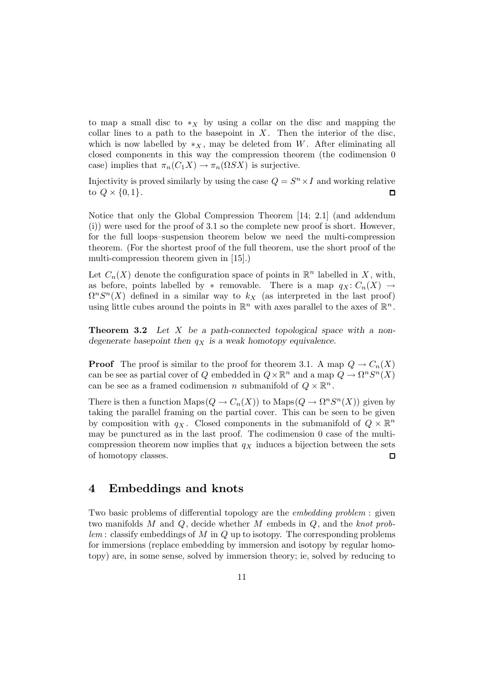to map a small disc to  $*$ <sub>X</sub> by using a collar on the disc and mapping the collar lines to a path to the basepoint in  $X$ . Then the interior of the disc, which is now labelled by  $*_X$ , may be deleted from W. After eliminating all closed components in this way the compression theorem (the codimension 0 case) implies that  $\pi_n(C_1X) \to \pi_n(\Omega SX)$  is surjective.

Injectivity is proved similarly by using the case  $Q = S<sup>n</sup> \times I$  and working relative to  $Q \times \{0,1\}$ .  $\Box$ 

Notice that only the Global Compression Theorem [14; 2.1] (and addendum (i)) were used for the proof of 3.1 so the complete new proof is short. However, for the full loops–suspension theorem below we need the multi-compression theorem. (For the shortest proof of the full theorem, use the short proof of the multi-compression theorem given in [15].)

Let  $C_n(X)$  denote the configuration space of points in  $\mathbb{R}^n$  labelled in X, with, as before, points labelled by \* removable. There is a map  $q_X: C_n(X) \to$  $\Omega^nS^n(X)$  defined in a similar way to  $k_X$  (as interpreted in the last proof) using little cubes around the points in  $\mathbb{R}^n$  with axes parallel to the axes of  $\mathbb{R}^n$ .

**Theorem 3.2** *Let* X *be a path-connected topological space with a nondegenerate basepoint then*  $q_X$  *is a weak homotopy equivalence.* 

**Proof** The proof is similar to the proof for theorem 3.1. A map  $Q \to C_n(X)$ can be see as partial cover of Q embedded in  $Q \times \mathbb{R}^n$  and a map  $Q \to \Omega^n S^n(X)$ can be see as a framed codimension n submanifold of  $Q \times \mathbb{R}^n$ .

There is then a function Maps $(Q \to C_n(X))$  to Maps $(Q \to \Omega^n S^n(X))$  given by taking the parallel framing on the partial cover. This can be seen to be given by composition with  $q_X$ . Closed components in the submanifold of  $Q \times \mathbb{R}^n$ may be punctured as in the last proof. The codimension 0 case of the multicompression theorem now implies that  $q_X$  induces a bijection between the sets of homotopy classes.  $\square$ 

# **4 Embeddings and knots**

Two basic problems of differential topology are the embedding problem : given two manifolds M and  $Q$ , decide whether M embeds in  $Q$ , and the knot prob $lem:$  classify embeddings of M in Q up to isotopy. The corresponding problems for immersions (replace embedding by immersion and isotopy by regular homotopy) are, in some sense, solved by immersion theory; ie, solved by reducing to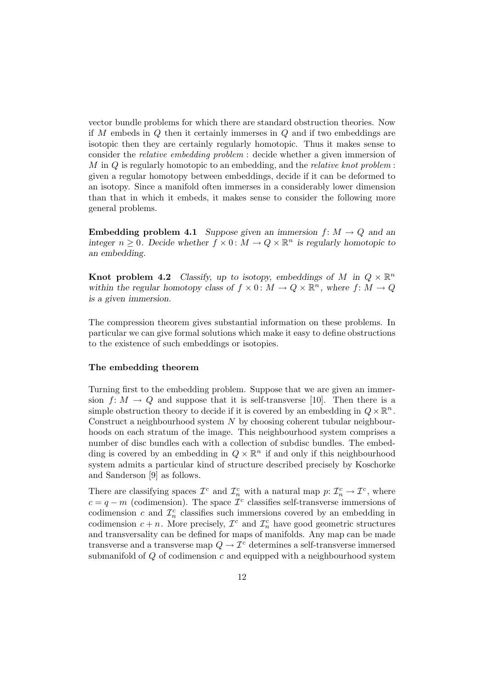vector bundle problems for which there are standard obstruction theories. Now if  $M$  embeds in  $Q$  then it certainly immerses in  $Q$  and if two embeddings are isotopic then they are certainly regularly homotopic. Thus it makes sense to consider the relative embedding problem : decide whether a given immersion of  $M$  in  $Q$  is regularly homotopic to an embedding, and the *relative knot problem*: given a regular homotopy between embeddings, decide if it can be deformed to an isotopy. Since a manifold often immerses in a considerably lower dimension than that in which it embeds, it makes sense to consider the following more general problems.

**Embedding problem 4.1** *Suppose given an immersion*  $f: M \to Q$  *and an integer*  $n \geq 0$ *. Decide whether*  $f \times 0$ *:*  $M \rightarrow Q \times \mathbb{R}^n$  *is regularly homotopic to an embedding.*

**Knot problem 4.2** *Classify, up to isotopy, embeddings of* M in  $Q \times \mathbb{R}^n$ *within the regular homotopy class of*  $f \times 0$ :  $M \to Q \times \mathbb{R}^n$ , where  $f: M \to Q$ *is a given immersion.*

The compression theorem gives substantial information on these problems. In particular we can give formal solutions which make it easy to define obstructions to the existence of such embeddings or isotopies.

#### **The embedding theorem**

Turning first to the embedding problem. Suppose that we are given an immersion  $f: M \to Q$  and suppose that it is self-transverse [10]. Then there is a simple obstruction theory to decide if it is covered by an embedding in  $Q \times \mathbb{R}^n$ . Construct a neighbourhood system  $N$  by choosing coherent tubular neighbourhoods on each stratum of the image. This neighbourhood system comprises a number of disc bundles each with a collection of subdisc bundles. The embedding is covered by an embedding in  $Q \times \mathbb{R}^n$  if and only if this neighbourhood system admits a particular kind of structure described precisely by Koschorke and Sanderson [9] as follows.

There are classifying spaces  $\mathcal{I}^c$  and  $\mathcal{I}^c_n$  with a natural map  $p: \mathcal{I}^c_n \to \mathcal{I}^c$ , where  $c = q - m$  (codimension). The space  $\mathcal{I}^c$  classifies self-transverse immersions of codimension c and  $\mathcal{I}_n^c$  classifies such immersions covered by an embedding in codimension  $c + n$ . More precisely,  $\mathcal{I}^c$  and  $\mathcal{I}^c_n$  have good geometric structures and transversality can be defined for maps of manifolds. Any map can be made transverse and a transverse map  $Q \to \mathcal{I}^c$  determines a self-transverse immersed submanifold of  $Q$  of codimension  $c$  and equipped with a neighbourhood system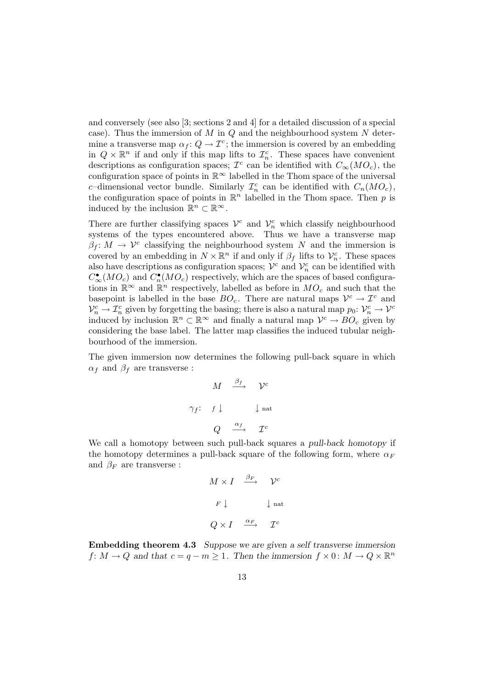and conversely (see also [3; sections 2 and 4] for a detailed discussion of a special case). Thus the immersion of  $M$  in  $Q$  and the neighbourhood system  $N$  determine a transverse map  $\alpha_f: Q \to \mathcal{I}^c$ ; the immersion is covered by an embedding in  $Q \times \mathbb{R}^n$  if and only if this map lifts to  $\mathcal{I}_n^c$ . These spaces have convenient descriptions as configuration spaces;  $\mathcal{I}^c$  can be identified with  $C_{\infty}(MO_c)$ , the configuration space of points in  $\mathbb{R}^{\infty}$  labelled in the Thom space of the universal c-dimensional vector bundle. Similarly  $\mathcal{I}_n^c$  can be identified with  $C_n(MO_c)$ , the configuration space of points in  $\mathbb{R}^n$  labelled in the Thom space. Then p is induced by the inclusion  $\mathbb{R}^n \subset \mathbb{R}^\infty$ .

There are further classifying spaces  $\mathcal{V}^c$  and  $\mathcal{V}^c_n$  which classify neighbourhood systems of the types encountered above. Thus we have a transverse map  $\beta_f: M \to V^c$  classifying the neighbourhood system N and the immersion is covered by an embedding in  $N \times \mathbb{R}^n$  if and only if  $\beta_f$  lifts to  $\mathcal{V}_n^c$ . These spaces also have descriptions as configuration spaces;  $\mathcal{V}^c$  and  $\mathcal{V}_n^c$  can be identified with  $C_{\infty}^{\bullet}(MO_c)$  and  $C_n^{\bullet}(MO_c)$  respectively, which are the spaces of based configurations in  $\mathbb{R}^{\infty}$  and  $\mathbb{R}^{n}$  respectively, labelled as before in  $MO_c$  and such that the basepoint is labelled in the base  $BO_c$ . There are natural maps  $V^c \to \mathcal{I}^c$  and  $\mathcal{V}_n^c \to \mathcal{I}_n^c$  given by forgetting the basing; there is also a natural map  $p_0: \mathcal{V}_n^c \to \mathcal{V}^c$ induced by inclusion  $\mathbb{R}^n \subset \mathbb{R}^\infty$  and finally a natural map  $\mathcal{V}^c \to BO_c$  given by considering the base label. The latter map classifies the induced tubular neighbourhood of the immersion.

The given immersion now determines the following pull-back square in which  $\alpha_f$  and  $\beta_f$  are transverse :

$$
M \xrightarrow{\beta_f} \mathcal{V}^c
$$
  

$$
\gamma_f: \quad f \downarrow \qquad \qquad \downarrow \text{nat}
$$
  

$$
Q \xrightarrow{\alpha_f} \mathcal{I}^c
$$

We call a homotopy between such pull-back squares a *pull-back homotopy* if the homotopy determines a pull-back square of the following form, where  $\alpha_F$ and  $\beta_F$  are transverse :

$$
M \times I \xrightarrow{\beta_F} \mathcal{V}^c
$$
  

$$
F \downarrow \qquad \qquad \downarrow \text{nat}
$$
  

$$
Q \times I \xrightarrow{\alpha_F} \mathcal{I}^c
$$

**Embedding theorem 4.3** *Suppose we are given a self transverse immersion*  $f: M \to Q$  and that  $c = q - m \geq 1$ . Then the immersion  $f \times 0: M \to Q \times \mathbb{R}^n$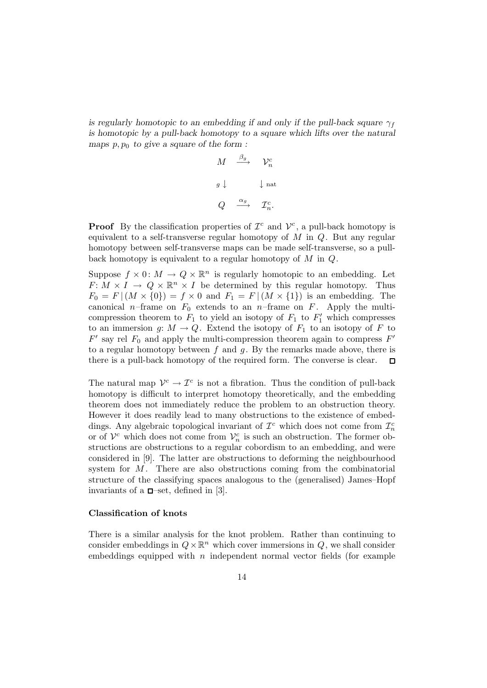*is regularly homotopic to an embedding if and only if the pull-back square*  $\gamma_f$ *is homotopic by a pull-back homotopy to a square which lifts over the natural* maps  $p, p_0$  to give a square of the form :

> $M \quad \stackrel{\beta_g}{\longrightarrow} \quad \mathcal{V}_n^c$  $\mathcal{V}_n^c$  $g \downarrow \qquad \qquad \downarrow$ nat  $Q \quad \xrightarrow{\alpha_g} \quad \mathcal{I}_n^c.$

**Proof** By the classification properties of  $\mathcal{I}^c$  and  $\mathcal{V}^c$ , a pull-back homotopy is equivalent to a self-transverse regular homotopy of  $M$  in  $Q$ . But any regular homotopy between self-transverse maps can be made self-transverse, so a pullback homotopy is equivalent to a regular homotopy of M in Q.

Suppose  $f \times 0$ :  $M \to Q \times \mathbb{R}^n$  is regularly homotopic to an embedding. Let  $F: M \times I \to Q \times \mathbb{R}^n \times I$  be determined by this regular homotopy. Thus  $F_0 = F | (M \times \{0\}) = f \times 0$  and  $F_1 = F | (M \times \{1\})$  is an embedding. The canonical n–frame on  $F_0$  extends to an n–frame on F. Apply the multicompression theorem to  $F_1$  to yield an isotopy of  $F_1$  to  $F'_1$  which compresses to an immersion g:  $M \to Q$ . Extend the isotopy of  $F_1$  to an isotopy of F to  $F'$  say rel  $F_0$  and apply the multi-compression theorem again to compress  $F'$ to a regular homotopy between  $f$  and  $g$ . By the remarks made above, there is there is a pull-back homotopy of the required form. The converse is clear.  $\Box$ 

The natural map  $\mathcal{V}^c \to \mathcal{I}^c$  is not a fibration. Thus the condition of pull-back homotopy is difficult to interpret homotopy theoretically, and the embedding theorem does not immediately reduce the problem to an obstruction theory. However it does readily lead to many obstructions to the existence of embeddings. Any algebraic topological invariant of  $\mathcal{I}^c$  which does not come from  $\mathcal{I}_n^c$ or of  $\mathcal{V}^c$  which does not come from  $\mathcal{V}_n^c$  is such an obstruction. The former obstructions are obstructions to a regular cobordism to an embedding, and were considered in [9]. The latter are obstructions to deforming the neighbourhood system for  $M$ . There are also obstructions coming from the combinatorial structure of the classifying spaces analogous to the (generalised) James–Hopf invariants of a  $\Box$ -set, defined in [3].

#### **Classification of knots**

There is a similar analysis for the knot problem. Rather than continuing to consider embeddings in  $Q \times \mathbb{R}^n$  which cover immersions in Q, we shall consider embeddings equipped with  $n$  independent normal vector fields (for example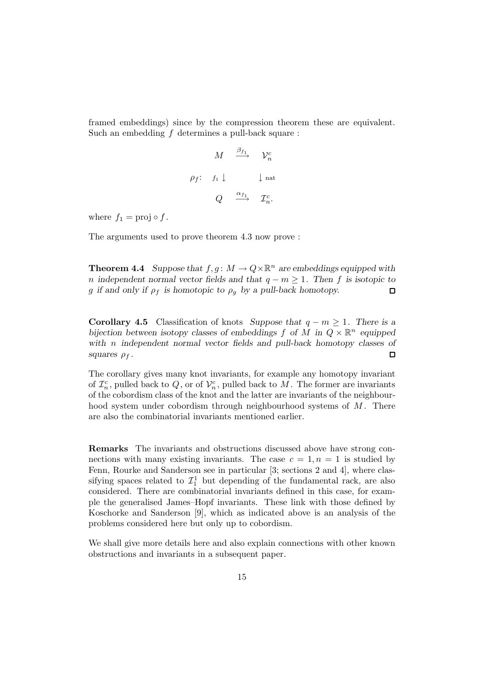framed embeddings) since by the compression theorem these are equivalent. Such an embedding  $f$  determines a pull-back square :

> $M \quad \stackrel{\beta_{f_1}}{\longrightarrow} \quad \mathcal{V}_n^c$  $\rho_f$ :  $f_1 \downarrow$   $\qquad \qquad$  \ nat  $Q \quad \stackrel{\alpha_{f_1}}{\longrightarrow} \quad \mathcal{I}_n^c.$

where  $f_1 = \text{proj} \circ f$ .

The arguments used to prove theorem 4.3 now prove :

**Theorem 4.4** *Suppose that*  $f, g: M \to Q \times \mathbb{R}^n$  *are embeddings equipped with n* independent normal vector fields and that  $q - m \geq 1$ . Then f is isotopic to g if and only if  $\rho_f$  is homotopic to  $\rho_g$  by a pull-back homotopy.  $\Box$ 

**Corollary 4.5** Classification of knots *Suppose that*  $q - m \geq 1$ *. There is a bijection between isotopy classes of embeddings* f *of* M in  $Q \times \mathbb{R}^n$  *equipped with* n *independent normal vector fields and pull-back homotopy classes of squares*  $\rho_f$ . □

The corollary gives many knot invariants, for example any homotopy invariant of  $\mathcal{I}_n^c$ , pulled back to  $Q$ , or of  $\mathcal{V}_n^c$ , pulled back to  $M$ . The former are invariants of the cobordism class of the knot and the latter are invariants of the neighbourhood system under cobordism through neighbourhood systems of  $M$ . There are also the combinatorial invariants mentioned earlier.

**Remarks** The invariants and obstructions discussed above have strong connections with many existing invariants. The case  $c = 1, n = 1$  is studied by Fenn, Rourke and Sanderson see in particular [3; sections 2 and 4], where classifying spaces related to  $\mathcal{I}_1^1$  but depending of the fundamental rack, are also considered. There are combinatorial invariants defined in this case, for example the generalised James–Hopf invariants. These link with those defined by Koschorke and Sanderson [9], which as indicated above is an analysis of the problems considered here but only up to cobordism.

We shall give more details here and also explain connections with other known obstructions and invariants in a subsequent paper.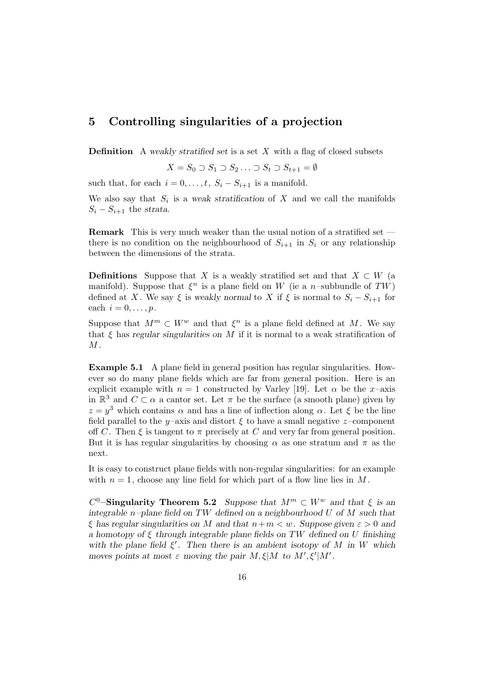### **5 Controlling singularities of a projection**

**Definition** A *weakly stratified set* is a set X with a flag of closed subsets

$$
X = S_0 \supset S_1 \supset S_2 \ldots \supset S_t \supset S_{t+1} = \emptyset
$$

such that, for each  $i = 0, \ldots, t$ ,  $S_i - S_{i+1}$  is a manifold.

We also say that  $S_i$  is a *weak stratification* of  $X$  and we call the manifolds  $S_i - S_{i+1}$  the *strata*.

**Remark** This is very much weaker than the usual notion of a stratified set there is no condition on the neighbourhood of  $S_{i+1}$  in  $S_i$  or any relationship between the dimensions of the strata.

**Definitions** Suppose that X is a weakly stratified set and that  $X \subset W$  (a manifold). Suppose that  $\xi^n$  is a plane field on W (ie a n-subbundle of TW) defined at X. We say  $\xi$  is *weakly normal* to X if  $\xi$  is normal to  $S_i - S_{i+1}$  for each  $i = 0, \ldots, p$ .

Suppose that  $M^m \subset W^w$  and that  $\xi^n$  is a plane field defined at M. We say that  $\xi$  has *regular singularities on*  $M$  if it is normal to a weak stratification of  $M$ .

**Example 5.1** A plane field in general position has regular singularities. However so do many plane fields which are far from general position. Here is an explicit example with  $n = 1$  constructed by Varley [19]. Let  $\alpha$  be the x-axis in  $\mathbb{R}^3$  and  $C \subset \alpha$  a cantor set. Let  $\pi$  be the surface (a smooth plane) given by  $z = y^3$  which contains  $\alpha$  and has a line of inflection along  $\alpha$ . Let  $\xi$  be the line field parallel to the y–axis and distort  $\xi$  to have a small negative z–component off C. Then  $\xi$  is tangent to  $\pi$  precisely at C and very far from general position. But it is has regular singularities by choosing  $\alpha$  as one stratum and  $\pi$  as the next.

It is easy to construct plane fields with non-regular singularities: for an example with  $n = 1$ , choose any line field for which part of a flow line lies in M.

 $C^0$ –**Singularity Theorem 5.2** *Suppose that*  $M^m \subset W^w$  *and that*  $\xi$  *is an integrable* n*–plane field on* TW *defined on a neighbourhood* U *of* M *such that*  $\xi$  has regular singularities on M and that  $n+m < w$ . Suppose given  $\varepsilon > 0$  and *a homotopy of* ξ *through integrable plane fields on* TW *defined on* U *finishing* with the plane field  $\xi'$ . Then there is an ambient isotopy of M in W which *moves points at most*  $\varepsilon$  *moving the pair*  $M, \xi | M$  *to*  $M', \xi' | M'$ .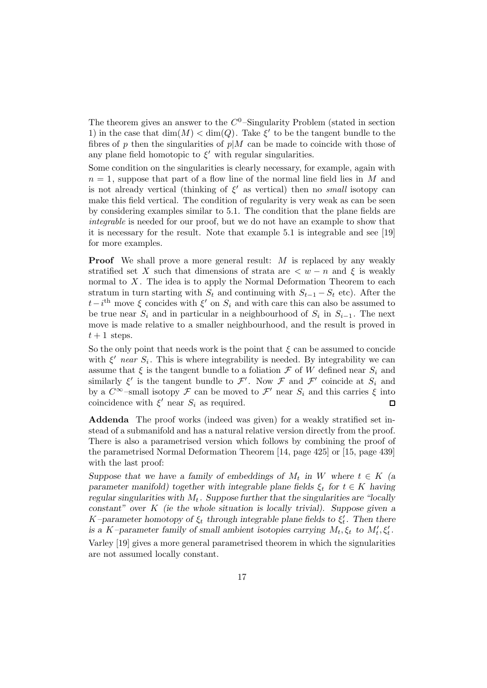The theorem gives an answer to the  $C^0$ -Singularity Problem (stated in section 1) in the case that  $\dim(M) < \dim(Q)$ . Take  $\xi'$  to be the tangent bundle to the fibres of p then the singularities of  $p|M$  can be made to coincide with those of any plane field homotopic to  $\xi'$  with regular singularities.

Some condition on the singularities is clearly necessary, for example, again with  $n = 1$ , suppose that part of a flow line of the normal line field lies in M and is not already vertical (thinking of  $\xi'$  as vertical) then no small isotopy can make this field vertical. The condition of regularity is very weak as can be seen by considering examples similar to 5.1. The condition that the plane fields are integrable is needed for our proof, but we do not have an example to show that it is necessary for the result. Note that example 5.1 is integrable and see [19] for more examples.

**Proof** We shall prove a more general result: M is replaced by any weakly stratified set X such that dimensions of strata are  $\lt w - n$  and  $\xi$  is weakly normal to  $X$ . The idea is to apply the Normal Deformation Theorem to each stratum in turn starting with  $S_t$  and continuing with  $S_{t-1} - S_t$  etc). After the  $t-i$ <sup>th</sup> move  $\xi$  concides with  $\xi'$  on  $S_i$  and with care this can also be assumed to be true near  $S_i$  and in particular in a neighbourhood of  $S_i$  in  $S_{i-1}$ . The next move is made relative to a smaller neighbourhood, and the result is proved in  $t+1$  steps.

So the only point that needs work is the point that  $\xi$  can be assumed to concide with  $\xi'$  near  $S_i$ . This is where integrability is needed. By integrability we can assume that  $\xi$  is the tangent bundle to a foliation  $\mathcal F$  of  $W$  defined near  $S_i$  and similarly  $\xi'$  is the tangent bundle to  $\mathcal{F}'$ . Now  $\mathcal{F}$  and  $\mathcal{F}'$  coincide at  $S_i$  and by a  $C^{\infty}$ –small isotopy  $\mathcal F$  can be moved to  $\mathcal F'$  near  $S_i$  and this carries  $\xi$  into coincidence with  $\xi'$  near  $S_i$  as required.  $\Box$ 

**Addenda** The proof works (indeed was given) for a weakly stratified set instead of a submanifold and has a natural relative version directly from the proof. There is also a parametrised version which follows by combining the proof of the parametrised Normal Deformation Theorem [14, page 425] or [15, page 439] with the last proof:

*Suppose that we have a family of embeddings of*  $M_t$  *in* W where  $t \in K$  (a *parameter manifold) together with integrable plane fields*  $\xi_t$  *for*  $t \in K$  *having regular singularities with*  $M_t$ . Suppose further that the singularities are "locally *constant" over* K *(ie the whole situation is locally trivial). Suppose given a*  $K$ -parameter homotopy of  $\xi_t$  through integrable plane fields to  $\xi'_t$ . Then there *is a* K-parameter family of small ambient isotopies carrying  $M_t$ ,  $\xi_t$  to  $M'_t$ ,  $\xi'_t$ .

Varley [19] gives a more general parametrised theorem in which the signularities are not assumed locally constant.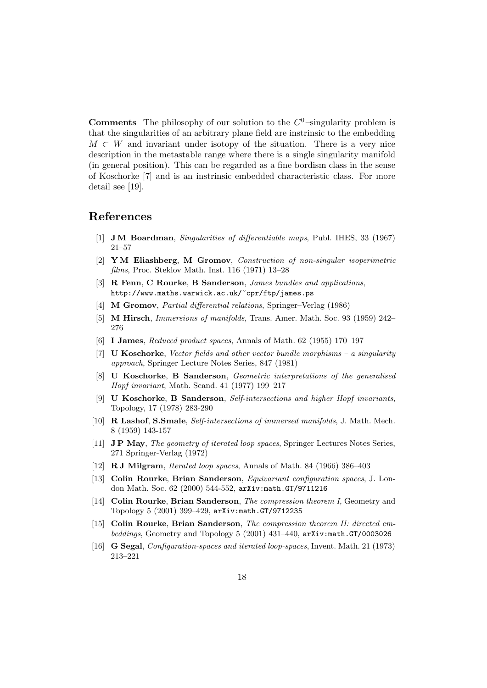**Comments** The philosophy of our solution to the  $C^0$ -singularity problem is that the singularities of an arbitrary plane field are instrinsic to the embedding  $M \subset W$  and invariant under isotopy of the situation. There is a very nice description in the metastable range where there is a single singularity manifold (in general position). This can be regarded as a fine bordism class in the sense of Koschorke [7] and is an instrinsic embedded characteristic class. For more detail see [19].

### **References**

- [1] **J M Boardman**, Singularities of differentiable maps, Publ. IHES, 33 (1967) 21–57
- [2] **Y M Eliashberg**, **M Gromov**, Construction of non-singular isoperimetric films, Proc. Steklov Math. Inst. 116 (1971) 13–28
- [3] **R Fenn**, **C Rourke**, **B Sanderson**, James bundles and applications, http://www.maths.warwick.ac.uk/~cpr/ftp/james.ps
- [4] **M Gromov**, Partial differential relations, Springer–Verlag (1986)
- [5] **M Hirsch**, Immersions of manifolds, Trans. Amer. Math. Soc. 93 (1959) 242– 276
- [6] **I James**, Reduced product spaces, Annals of Math. 62 (1955) 170–197
- [7] **U Koschorke**, Vector fields and other vector bundle morphisms a singularity approach, Springer Lecture Notes Series, 847 (1981)
- [8] **U Koschorke**, **B Sanderson**, Geometric interpretations of the generalised Hopf invariant, Math. Scand. 41 (1977) 199–217
- [9] **U Koschorke**, **B Sanderson**, Self-intersections and higher Hopf invariants, Topology, 17 (1978) 283-290
- [10] **R Lashof**, **S.Smale**, Self-intersections of immersed manifolds, J. Math. Mech. 8 (1959) 143-157
- [11] **J P May**, The geometry of iterated loop spaces, Springer Lectures Notes Series, 271 Springer-Verlag (1972)
- [12] **R J Milgram**, Iterated loop spaces, Annals of Math. 84 (1966) 386–403
- [13] **Colin Rourke**, **Brian Sanderson**, Equivariant configuration spaces, J. London Math. Soc. 62 (2000) 544-552, arXiv:math.GT/9711216
- [14] **Colin Rourke**, **Brian Sanderson**, The compression theorem I, Geometry and Topology 5 (2001) 399–429, arXiv:math.GT/9712235
- [15] **Colin Rourke**, **Brian Sanderson**, The compression theorem II: directed embeddings, Geometry and Topology 5 (2001) 431–440, arXiv:math.GT/0003026
- [16] **G Segal**, Configuration-spaces and iterated loop-spaces, Invent. Math. 21 (1973) 213–221